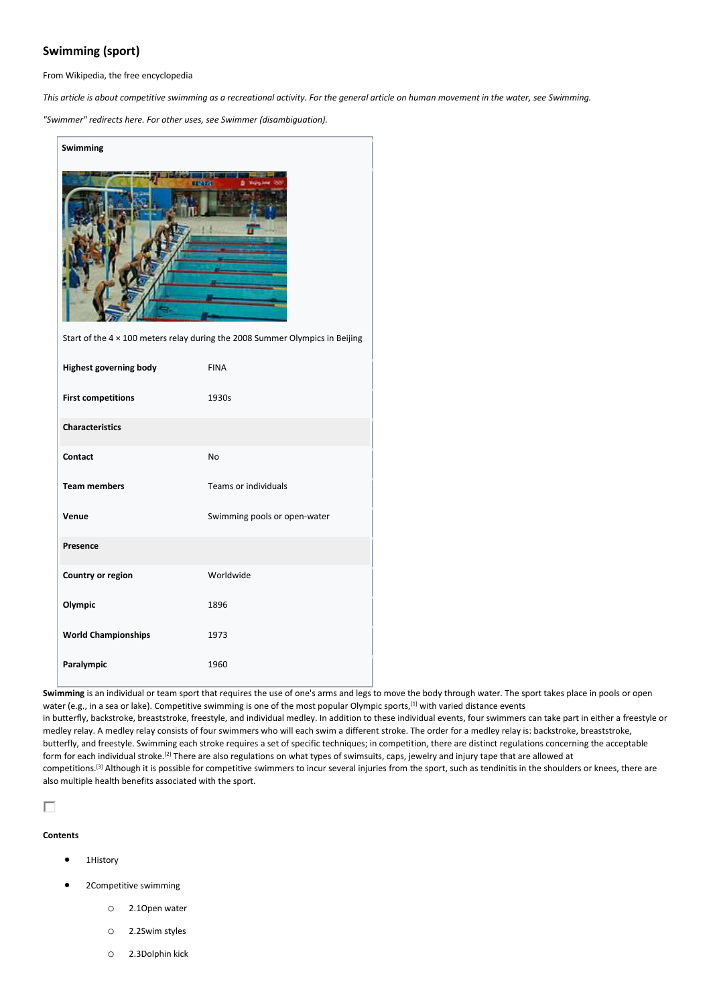# **Swimming (sport)**

From Wikipedia, the free encyclopedia

*This article is about competitive swimming as a recreational activity. For the general article on human movement in the water, see Swimming.*

*"Swimmer" redirects here. For other uses, see Swimmer (disambiguation).*

| Swimming                                                                     |                              |  |  |  |  |  |
|------------------------------------------------------------------------------|------------------------------|--|--|--|--|--|
| Start of the 4 x 100 meters relay during the 2008 Summer Olympics in Beijing |                              |  |  |  |  |  |
| <b>Highest governing body</b>                                                | <b>FINA</b>                  |  |  |  |  |  |
| <b>First competitions</b>                                                    | 1930s                        |  |  |  |  |  |
| <b>Characteristics</b>                                                       |                              |  |  |  |  |  |
| Contact                                                                      | No                           |  |  |  |  |  |
| <b>Team members</b>                                                          | <b>Teams or individuals</b>  |  |  |  |  |  |
| Venue                                                                        | Swimming pools or open-water |  |  |  |  |  |
| Presence                                                                     |                              |  |  |  |  |  |
| Country or region                                                            | Worldwide                    |  |  |  |  |  |
| Olympic                                                                      | 1896                         |  |  |  |  |  |
| <b>World Championships</b>                                                   | 1973                         |  |  |  |  |  |
| Paralympic                                                                   | 1960                         |  |  |  |  |  |

**Swimming** is an individual or team sport that requires the use of one's arms and legs to move the body through water. The sport takes place in pools or open water (e.g., in a sea or lake). Competitive swimming is one of the most popular Olympic sports,<sup>[1]</sup> with varied distance events in butterfly, backstroke, breaststroke, freestyle, and individual medley. In addition to these individual events, four swimmers can take part in either a freestyle or medley relay. A medley relay consists of four swimmers who will each swim a different stroke. The order for a medley relay is: backstroke, breaststroke, butterfly, and freestyle. Swimming each stroke requires a set of specific techniques; in competition, there are distinct regulations concerning the acceptable form for each individual stroke.<sup>[2]</sup> There are also regulations on what types of swimsuits, caps, jewelry and injury tape that are allowed at competitions.<sup>[3]</sup> Although it is possible for competitive swimmers to incur several injuries from the sport, such as tendinitis in the shoulders or knees, there are also multiple health benefits associated with the sport.

# П

# **Contents**

- 1History
- 2Competitive swimming
	- o 2.1Open water
	- o 2.2Swim styles
	- o 2.3Dolphin kick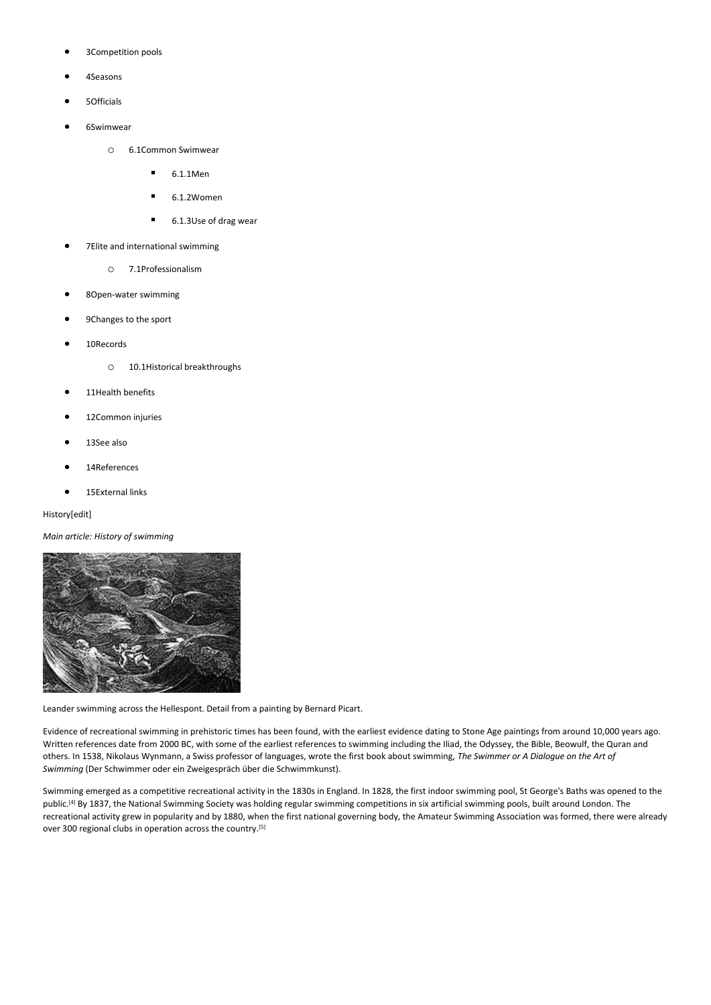- 3Competition pools
- 4Seasons
- 5Officials
- 6Swimwear
	- o 6.1Common Swimwear
		- $-6.1.1$ Men
		- 6.1.2Women
		- 6.1.3Use of drag wear
- 7Elite and international swimming
	- o 7.1Professionalism
- 8Open-water swimming
- 9Changes to the sport
- 10Records
	- o 10.1Historical breakthroughs
- 11Health benefits
- 12Common injuries
- 13See also
- 14References
- 15External links

# History[edit]

*Main article: History of swimming*



Leander swimming across the Hellespont. Detail from a painting by Bernard Picart.

Evidence of recreational swimming in prehistoric times has been found, with the earliest evidence dating to Stone Age paintings from around 10,000 years ago. Written references date from 2000 BC, with some of the earliest references to swimming including the Iliad, the Odyssey, the Bible, Beowulf, the Quran and others. In 1538, Nikolaus Wynmann, a Swiss professor of languages, wrote the first book about swimming, *The Swimmer or A Dialogue on the Art of Swimming* (Der Schwimmer oder ein Zweigespräch über die Schwimmkunst).

Swimming emerged as a competitive recreational activity in the 1830s in England. In 1828, the first indoor swimming pool, St George's Baths was opened to the public.<sup>[4]</sup> By 1837, the National Swimming Society was holding regular swimming competitions in six artificial swimming pools, built around London. The recreational activity grew in popularity and by 1880, when the first national governing body, the Amateur Swimming Association was formed, there were already over 300 regional clubs in operation across the country.<sup>[5]</sup>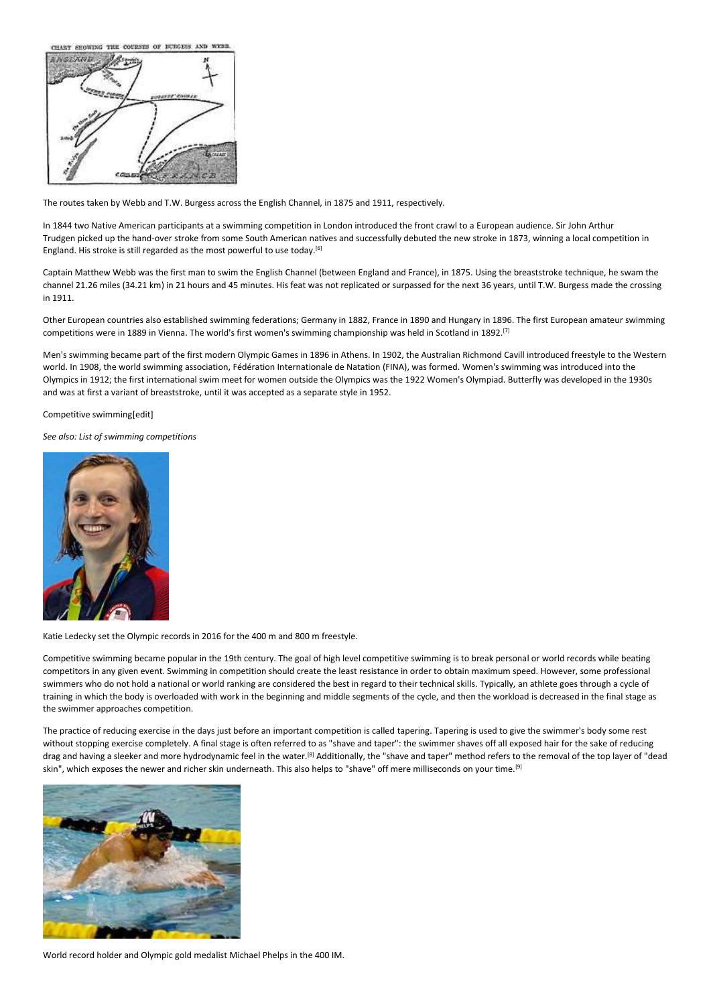CHART SHOWING THE COURSES OF BURGESS AND WEBB



The routes taken by Webb and T.W. Burgess across the English Channel, in 1875 and 1911, respectively.

In 1844 two Native American participants at a swimming competition in London introduced the front crawl to a European audience. Sir John Arthur Trudgen picked up the hand-over stroke from some South American natives and successfully debuted the new stroke in 1873, winning a local competition in England. His stroke is still regarded as the most powerful to use today.<sup>[6]</sup>

Captain Matthew Webb was the first man to swim the English Channel (between England and France), in 1875. Using the breaststroke technique, he swam the channel 21.26 miles (34.21 km) in 21 hours and 45 minutes. His feat was not replicated or surpassed for the next 36 years, until T.W. Burgess made the crossing in 1911.

Other European countries also established swimming federations; Germany in 1882, France in 1890 and Hungary in 1896. The first European amateur swimming competitions were in 1889 in Vienna. The world's first women's swimming championship was held in Scotland in 1892.[7]

Men's swimming became part of the first modern Olympic Games in 1896 in Athens. In 1902, the Australian Richmond Cavill introduced freestyle to the Western world. In 1908, the world swimming association, Fédération Internationale de Natation (FINA), was formed. Women's swimming was introduced into the Olympics in 1912; the first international swim meet for women outside the Olympics was the 1922 Women's Olympiad. Butterfly was developed in the 1930s and was at first a variant of breaststroke, until it was accepted as a separate style in 1952.

Competitive swimming[edit]

*See also: List of swimming competitions*



Katie Ledecky set the Olympic records in 2016 for the 400 m and 800 m freestyle.

Competitive swimming became popular in the 19th century. The goal of high level competitive swimming is to break personal or world records while beating competitors in any given event. Swimming in competition should create the least resistance in order to obtain maximum speed. However, some professional swimmers who do not hold a national or world ranking are considered the best in regard to their technical skills. Typically, an athlete goes through a cycle of training in which the body is overloaded with work in the beginning and middle segments of the cycle, and then the workload is decreased in the final stage as the swimmer approaches competition.

The practice of reducing exercise in the days just before an important competition is called tapering. Tapering is used to give the swimmer's body some rest without stopping exercise completely. A final stage is often referred to as "shave and taper": the swimmer shaves off all exposed hair for the sake of reducing drag and having a sleeker and more hydrodynamic feel in the water.<sup>[8]</sup> Additionally, the "shave and taper" method refers to the removal of the top layer of "dead skin", which exposes the newer and richer skin underneath. This also helps to "shave" off mere milliseconds on your time.<sup>[9]</sup>



World record holder and Olympic gold medalist Michael Phelps in the 400 IM.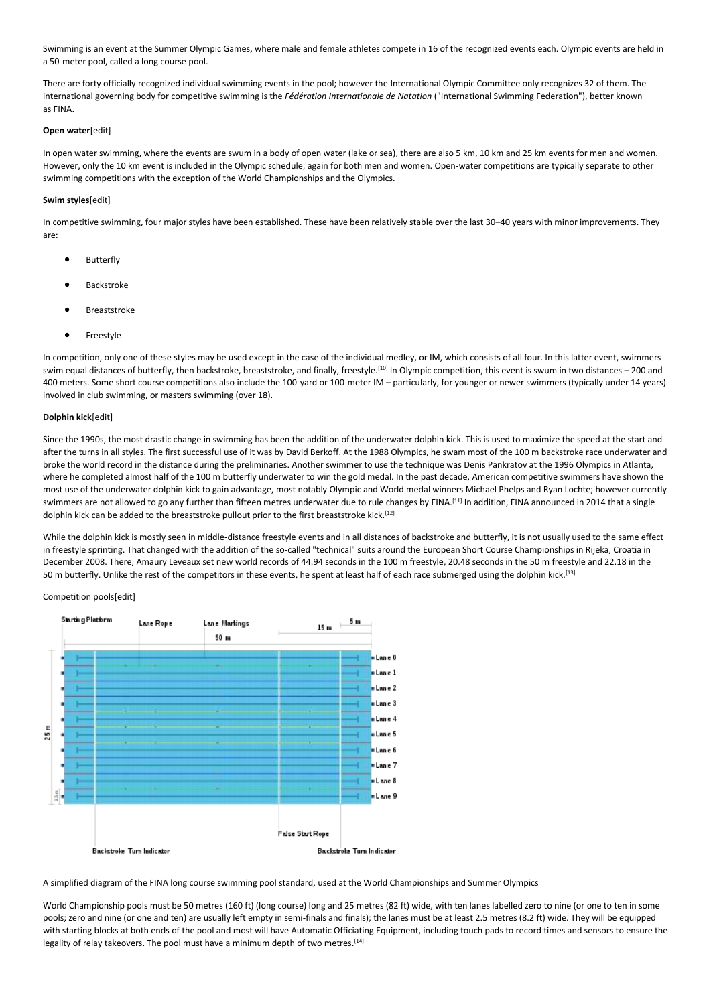Swimming is an event at the Summer Olympic Games, where male and female athletes compete in 16 of the recognized events each. Olympic events are held in a 50-meter pool, called a long course pool.

There are forty officially recognized individual swimming events in the pool; however the International Olympic Committee only recognizes 32 of them. The international governing body for competitive swimming is the *Fédération Internationale de Natation* ("International Swimming Federation"), better known as FINA.

# **Open water**[edit]

In open water swimming, where the events are swum in a body of open water (lake or sea), there are also 5 km, 10 km and 25 km events for men and women. However, only the 10 km event is included in the Olympic schedule, again for both men and women. Open-water competitions are typically separate to other swimming competitions with the exception of the World Championships and the Olympics.

# **Swim styles**[edit]

In competitive swimming, four major styles have been established. These have been relatively stable over the last 30–40 years with minor improvements. They are:

- **Butterfly**
- Backstroke
- **Breaststroke**
- **Freestyle**

In competition, only one of these styles may be used except in the case of the individual medley, or IM, which consists of all four. In this latter event, swimmers swim equal distances of butterfly, then backstroke, breaststroke, and finally, freestyle.[10] In Olympic competition, this event is swum in two distances – 200 and 400 meters. Some short course competitions also include the 100-yard or 100-meter IM – particularly, for younger or newer swimmers (typically under 14 years) involved in club swimming, or masters swimming (over 18).

# **Dolphin kick**[edit]

Since the 1990s, the most drastic change in swimming has been the addition of the underwater dolphin kick. This is used to maximize the speed at the start and after the turns in all styles. The first successful use of it was by David Berkoff. At the 1988 Olympics, he swam most of the 100 m backstroke race underwater and broke the world record in the distance during the preliminaries. Another swimmer to use the technique was Denis Pankratov at the 1996 Olympics in Atlanta, where he completed almost half of the 100 m butterfly underwater to win the gold medal. In the past decade, American competitive swimmers have shown the most use of the underwater dolphin kick to gain advantage, most notably Olympic and World medal winners Michael Phelps and Ryan Lochte; however currently swimmers are not allowed to go any further than fifteen metres underwater due to rule changes by FINA.<sup>[11]</sup> In addition, FINA announced in 2014 that a single dolphin kick can be added to the breaststroke pullout prior to the first breaststroke kick.<sup>[12]</sup>

While the dolphin kick is mostly seen in middle-distance freestyle events and in all distances of backstroke and butterfly, it is not usually used to the same effect in freestyle sprinting. That changed with the addition of the so-called "technical" suits around the European Short Course Championships in Rijeka, Croatia in December 2008. There, Amaury Leveaux set new world records of 44.94 seconds in the 100 m freestyle, 20.48 seconds in the 50 m freestyle and 22.18 in the 50 m butterfly. Unlike the rest of the competitors in these events, he spent at least half of each race submerged using the dolphin kick.[13]

# Competition pools[edit]



A simplified diagram of the FINA long course swimming pool standard, used at the World Championships and Summer Olympics

World Championship pools must be 50 metres (160 ft) (long course) long and 25 metres (82 ft) wide, with ten lanes labelled zero to nine (or one to ten in some pools; zero and nine (or one and ten) are usually left empty in semi-finals and finals); the lanes must be at least 2.5 metres (8.2 ft) wide. They will be equipped with starting blocks at both ends of the pool and most will have Automatic Officiating Equipment, including touch pads to record times and sensors to ensure the legality of relay takeovers. The pool must have a minimum depth of two metres.<sup>[14]</sup>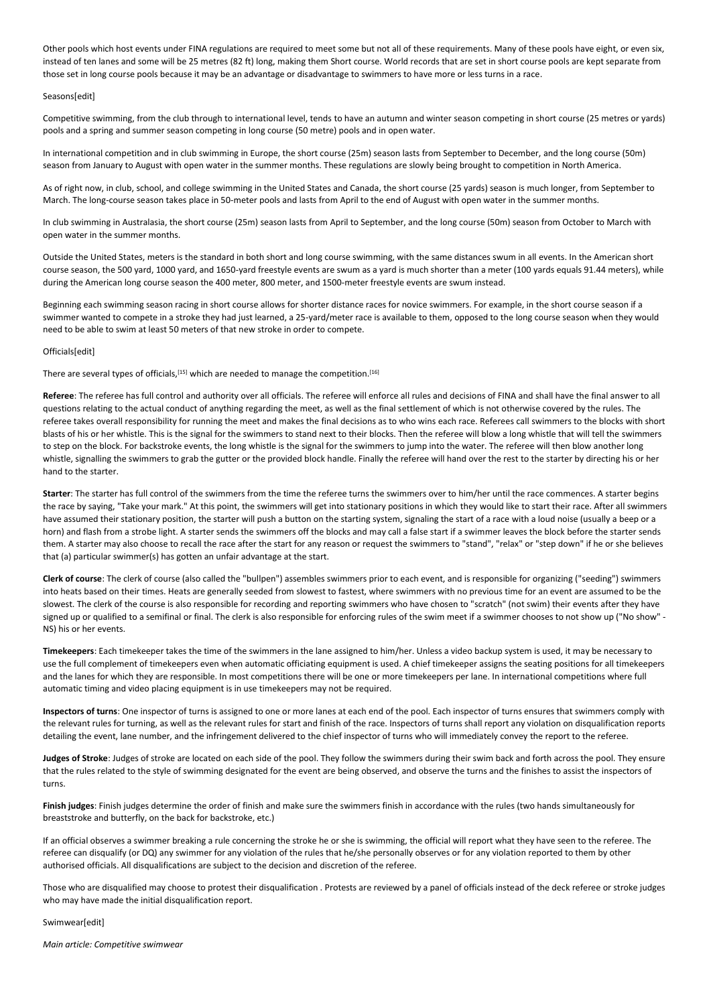Other pools which host events under FINA regulations are required to meet some but not all of these requirements. Many of these pools have eight, or even six, instead of ten lanes and some will be 25 metres (82 ft) long, making them Short course. World records that are set in short course pools are kept separate from those set in long course pools because it may be an advantage or disadvantage to swimmers to have more or less turns in a race.

# Seasons[edit]

Competitive swimming, from the club through to international level, tends to have an autumn and winter season competing in short course (25 metres or yards) pools and a spring and summer season competing in long course (50 metre) pools and in open water.

In international competition and in club swimming in Europe, the short course (25m) season lasts from September to December, and the long course (50m) season from January to August with open water in the summer months. These regulations are slowly being brought to competition in North America.

As of right now, in club, school, and college swimming in the United States and Canada, the short course (25 yards) season is much longer, from September to March. The long-course season takes place in 50-meter pools and lasts from April to the end of August with open water in the summer months.

In club swimming in Australasia, the short course (25m) season lasts from April to September, and the long course (50m) season from October to March with open water in the summer months.

Outside the United States, meters is the standard in both short and long course swimming, with the same distances swum in all events. In the American short course season, the 500 yard, 1000 yard, and 1650-yard freestyle events are swum as a yard is much shorter than a meter (100 yards equals 91.44 meters), while during the American long course season the 400 meter, 800 meter, and 1500-meter freestyle events are swum instead.

Beginning each swimming season racing in short course allows for shorter distance races for novice swimmers. For example, in the short course season if a swimmer wanted to compete in a stroke they had just learned, a 25-yard/meter race is available to them, opposed to the long course season when they would need to be able to swim at least 50 meters of that new stroke in order to compete.

## Officials[edit]

There are several types of officials,[15] which are needed to manage the competition.[16]

**Referee**: The referee has full control and authority over all officials. The referee will enforce all rules and decisions of FINA and shall have the final answer to all questions relating to the actual conduct of anything regarding the meet, as well as the final settlement of which is not otherwise covered by the rules. The referee takes overall responsibility for running the meet and makes the final decisions as to who wins each race. Referees call swimmers to the blocks with short blasts of his or her whistle. This is the signal for the swimmers to stand next to their blocks. Then the referee will blow a long whistle that will tell the swimmers to step on the block. For backstroke events, the long whistle is the signal for the swimmers to jump into the water. The referee will then blow another long whistle, signalling the swimmers to grab the gutter or the provided block handle. Finally the referee will hand over the rest to the starter by directing his or her hand to the starter.

**Starter**: The starter has full control of the swimmers from the time the referee turns the swimmers over to him/her until the race commences. A starter begins the race by saying, "Take your mark." At this point, the swimmers will get into stationary positions in which they would like to start their race. After all swimmers have assumed their stationary position, the starter will push a button on the starting system, signaling the start of a race with a loud noise (usually a beep or a horn) and flash from a strobe light. A starter sends the swimmers off the blocks and may call a false start if a swimmer leaves the block before the starter sends them. A starter may also choose to recall the race after the start for any reason or request the swimmers to "stand", "relax" or "step down" if he or she believes that (a) particular swimmer(s) has gotten an unfair advantage at the start.

**Clerk of course**: The clerk of course (also called the "bullpen") assembles swimmers prior to each event, and is responsible for organizing ("seeding") swimmers into heats based on their times. Heats are generally seeded from slowest to fastest, where swimmers with no previous time for an event are assumed to be the slowest. The clerk of the course is also responsible for recording and reporting swimmers who have chosen to "scratch" (not swim) their events after they have signed up or qualified to a semifinal or final. The clerk is also responsible for enforcing rules of the swim meet if a swimmer chooses to not show up ("No show" -NS) his or her events.

**Timekeepers**: Each timekeeper takes the time of the swimmers in the lane assigned to him/her. Unless a video backup system is used, it may be necessary to use the full complement of timekeepers even when automatic officiating equipment is used. A chief timekeeper assigns the seating positions for all timekeepers and the lanes for which they are responsible. In most competitions there will be one or more timekeepers per lane. In international competitions where full automatic timing and video placing equipment is in use timekeepers may not be required.

**Inspectors of turns**: One inspector of turns is assigned to one or more lanes at each end of the pool. Each inspector of turns ensures that swimmers comply with the relevant rules for turning, as well as the relevant rules for start and finish of the race. Inspectors of turns shall report any violation on disqualification reports detailing the event, lane number, and the infringement delivered to the chief inspector of turns who will immediately convey the report to the referee.

**Judges of Stroke**: Judges of stroke are located on each side of the pool. They follow the swimmers during their swim back and forth across the pool. They ensure that the rules related to the style of swimming designated for the event are being observed, and observe the turns and the finishes to assist the inspectors of turns.

**Finish judges**: Finish judges determine the order of finish and make sure the swimmers finish in accordance with the rules (two hands simultaneously for breaststroke and butterfly, on the back for backstroke, etc.)

If an official observes a swimmer breaking a rule concerning the stroke he or she is swimming, the official will report what they have seen to the referee. The referee can disqualify (or DQ) any swimmer for any violation of the rules that he/she personally observes or for any violation reported to them by other authorised officials. All disqualifications are subject to the decision and discretion of the referee.

Those who are disqualified may choose to protest their disqualification . Protests are reviewed by a panel of officials instead of the deck referee or stroke judges who may have made the initial disqualification report.

Swimwear[edit]

*Main article: Competitive swimwear*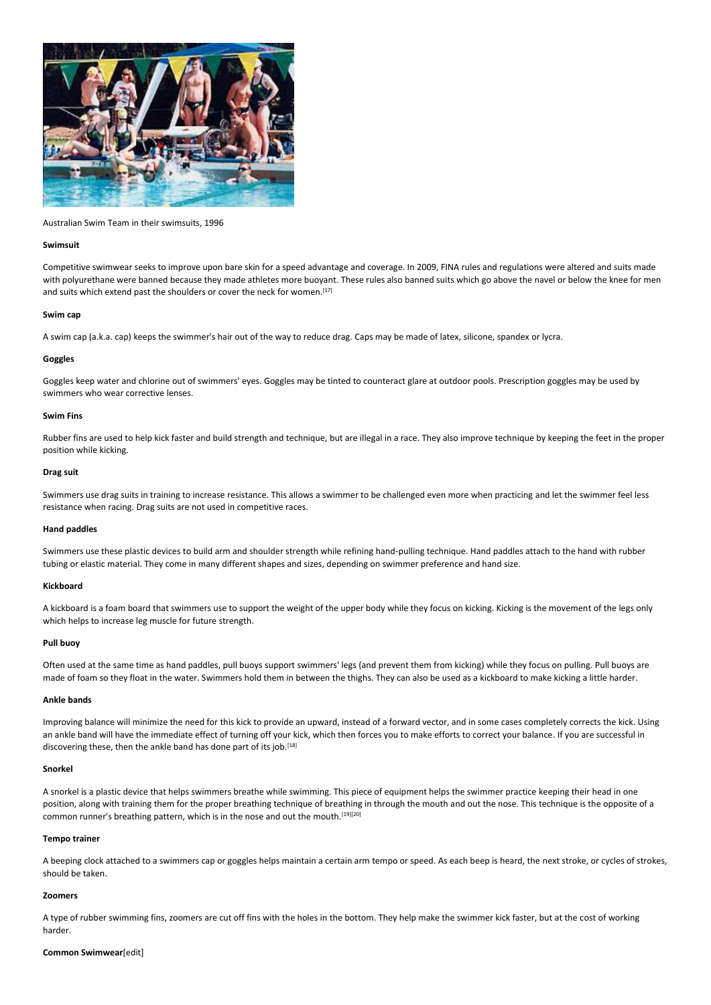

Australian Swim Team in their swimsuits, 1996

#### **Swimsuit**

Competitive swimwear seeks to improve upon bare skin for a speed advantage and coverage. In 2009, FINA rules and regulations were altered and suits made with polyurethane were banned because they made athletes more buoyant. These rules also banned suits which go above the navel or below the knee for men and suits which extend past the shoulders or cover the neck for women.<sup>[17]</sup>

#### **Swim cap**

A swim cap (a.k.a. cap) keeps the swimmer's hair out of the way to reduce drag. Caps may be made of latex, silicone, spandex or lycra.

# **Goggles**

Goggles keep water and chlorine out of swimmers' eyes. Goggles may be tinted to counteract glare at outdoor pools. Prescription goggles may be used by swimmers who wear corrective lenses.

## **Swim Fins**

Rubber fins are used to help kick faster and build strength and technique, but are illegal in a race. They also improve technique by keeping the feet in the proper position while kicking.

## **Drag suit**

Swimmers use drag suits in training to increase resistance. This allows a swimmer to be challenged even more when practicing and let the swimmer feel less resistance when racing. Drag suits are not used in competitive races.

## **Hand paddles**

Swimmers use these plastic devices to build arm and shoulder strength while refining hand-pulling technique. Hand paddles attach to the hand with rubber tubing or elastic material. They come in many different shapes and sizes, depending on swimmer preference and hand size.

## **Kickboard**

A kickboard is a foam board that swimmers use to support the weight of the upper body while they focus on kicking. Kicking is the movement of the legs only which helps to increase leg muscle for future strength.

#### **Pull buoy**

Often used at the same time as hand paddles, pull buoys support swimmers' legs (and prevent them from kicking) while they focus on pulling. Pull buoys are made of foam so they float in the water. Swimmers hold them in between the thighs. They can also be used as a kickboard to make kicking a little harder.

# **Ankle bands**

Improving balance will minimize the need for this kick to provide an upward, instead of a forward vector, and in some cases completely corrects the kick. Using an ankle band will have the immediate effect of turning off your kick, which then forces you to make efforts to correct your balance. If you are successful in discovering these, then the ankle band has done part of its job.<sup>[18]</sup>

#### **Snorkel**

A snorkel is a plastic device that helps swimmers breathe while swimming. This piece of equipment helps the swimmer practice keeping their head in one position, along with training them for the proper breathing technique of breathing in through the mouth and out the nose. This technique is the opposite of a common runner's breathing pattern, which is in the nose and out the mouth.<sup>[19][20]</sup>

#### **Tempo trainer**

A beeping clock attached to a swimmers cap or goggles helps maintain a certain arm tempo or speed. As each beep is heard, the next stroke, or cycles of strokes, should be taken.

## **Zoomers**

A type of rubber swimming fins, zoomers are cut off fins with the holes in the bottom. They help make the swimmer kick faster, but at the cost of working harder.

#### **Common Swimwear**[edit]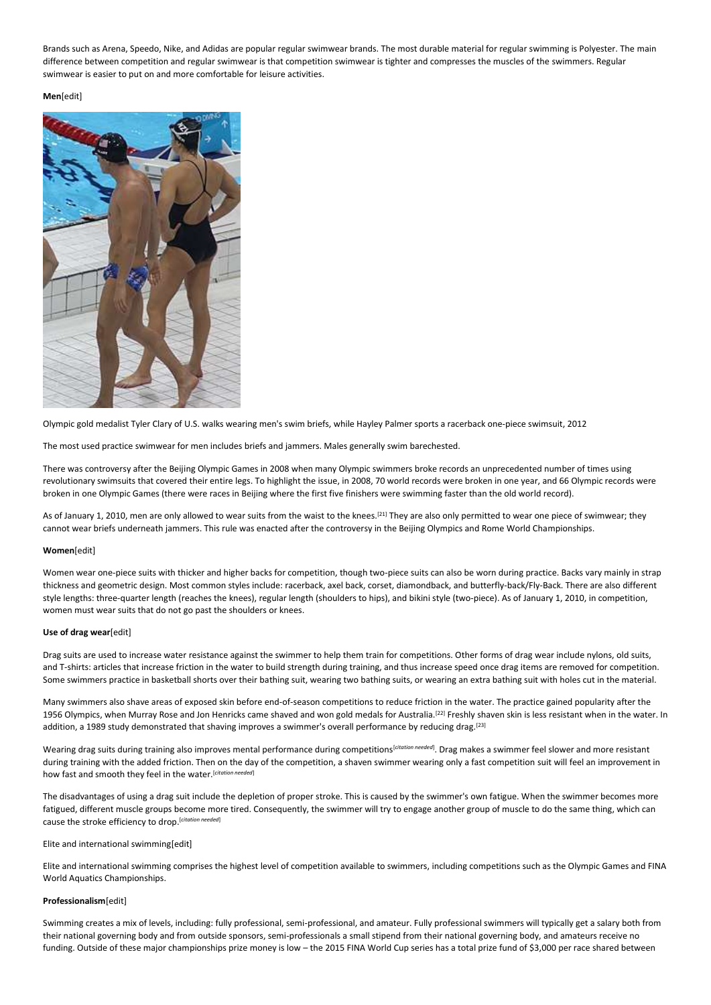Brands such as Arena, Speedo, Nike, and Adidas are popular regular swimwear brands. The most durable material for regular swimming is Polyester. The main difference between competition and regular swimwear is that competition swimwear is tighter and compresses the muscles of the swimmers. Regular swimwear is easier to put on and more comfortable for leisure activities.

**Men**[edit]



Olympic gold medalist Tyler Clary of U.S. walks wearing men's swim briefs, while Hayley Palmer sports a racerback one-piece swimsuit, 2012

The most used practice swimwear for men includes briefs and jammers. Males generally swim barechested.

There was controversy after the Beijing Olympic Games in 2008 when many Olympic swimmers broke records an unprecedented number of times using revolutionary swimsuits that covered their entire legs. To highlight the issue, in 2008, 70 world records were broken in one year, and 66 Olympic records were broken in one Olympic Games (there were races in Beijing where the first five finishers were swimming faster than the old world record).

As of January 1, 2010, men are only allowed to wear suits from the waist to the knees.<sup>[21]</sup> They are also only permitted to wear one piece of swimwear; they cannot wear briefs underneath jammers. This rule was enacted after the controversy in the Beijing Olympics and Rome World Championships.

# **Women**[edit]

Women wear one-piece suits with thicker and higher backs for competition, though two-piece suits can also be worn during practice. Backs vary mainly in strap thickness and geometric design. Most common styles include: racerback, axel back, corset, diamondback, and butterfly-back/Fly-Back. There are also different style lengths: three-quarter length (reaches the knees), regular length (shoulders to hips), and bikini style (two-piece). As of January 1, 2010, in competition, women must wear suits that do not go past the shoulders or knees.

# **Use of drag wear**[edit]

Drag suits are used to increase water resistance against the swimmer to help them train for competitions. Other forms of drag wear include nylons, old suits, and T-shirts: articles that increase friction in the water to build strength during training, and thus increase speed once drag items are removed for competition. Some swimmers practice in basketball shorts over their bathing suit, wearing two bathing suits, or wearing an extra bathing suit with holes cut in the material.

Many swimmers also shave areas of exposed skin before end-of-season competitions to reduce friction in the water. The practice gained popularity after the 1956 Olympics, when Murray Rose and Jon Henricks came shaved and won gold medals for Australia.[22] Freshly shaven skin is less resistant when in the water. In addition, a 1989 study demonstrated that shaving improves a swimmer's overall performance by reducing drag.<sup>[23]</sup>

Wearing drag suits during training also improves mental performance during competitions<sup>[citation needed</sup>]. Drag makes a swimmer feel slower and more resistant during training with the added friction. Then on the day of the competition, a shaven swimmer wearing only a fast competition suit will feel an improvement in how fast and smooth they feel in the water.[*citation needed*]

The disadvantages of using a drag suit include the depletion of proper stroke. This is caused by the swimmer's own fatigue. When the swimmer becomes more fatigued, different muscle groups become more tired. Consequently, the swimmer will try to engage another group of muscle to do the same thing, which can cause the stroke efficiency to drop.[*citation needed*]

# Elite and international swimming[edit]

Elite and international swimming comprises the highest level of competition available to swimmers, including competitions such as the Olympic Games and FINA World Aquatics Championships.

# **Professionalism**[edit]

Swimming creates a mix of levels, including: fully professional, semi-professional, and amateur. Fully professional swimmers will typically get a salary both from their national governing body and from outside sponsors, semi-professionals a small stipend from their national governing body, and amateurs receive no funding. Outside of these major championships prize money is low – the 2015 FINA World Cup series has a total prize fund of \$3,000 per race shared between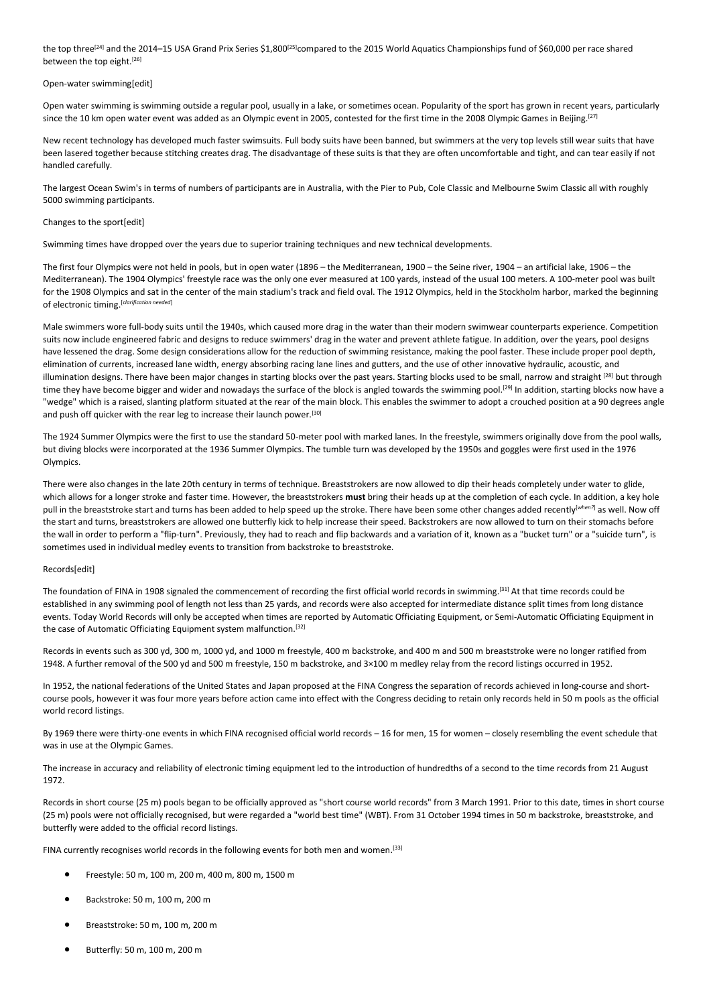the top three<sup>[24]</sup> and the 2014–15 USA Grand Prix Series \$1,800<sup>[25]</sup>compared to the 2015 World Aquatics Championships fund of \$60,000 per race shared between the top eight.<sup>[26]</sup>

## Open-water swimming[edit]

Open water swimming is swimming outside a regular pool, usually in a lake, or sometimes ocean. Popularity of the sport has grown in recent years, particularly since the 10 km open water event was added as an Olympic event in 2005, contested for the first time in the 2008 Olympic Games in Beijing.<sup>[27]</sup>

New recent technology has developed much faster swimsuits. Full body suits have been banned, but swimmers at the very top levels still wear suits that have been lasered together because stitching creates drag. The disadvantage of these suits is that they are often uncomfortable and tight, and can tear easily if not handled carefully.

The largest Ocean Swim's in terms of numbers of participants are in Australia, with the Pier to Pub, Cole Classic and Melbourne Swim Classic all with roughly 5000 swimming participants.

# Changes to the sport[edit]

Swimming times have dropped over the years due to superior training techniques and new technical developments.

The first four Olympics were not held in pools, but in open water (1896 – the Mediterranean, 1900 – the Seine river, 1904 – an artificial lake, 1906 – the Mediterranean). The 1904 Olympics' freestyle race was the only one ever measured at 100 yards, instead of the usual 100 meters. A 100-meter pool was built for the 1908 Olympics and sat in the center of the main stadium's track and field oval. The 1912 Olympics, held in the Stockholm harbor, marked the beginning of electronic timing. [*clarification needed*]

Male swimmers wore full-body suits until the 1940s, which caused more drag in the water than their modern swimwear counterparts experience. Competition suits now include engineered fabric and designs to reduce swimmers' drag in the water and prevent athlete fatigue. In addition, over the years, pool designs have lessened the drag. Some design considerations allow for the reduction of swimming resistance, making the pool faster. These include proper pool depth, elimination of currents, increased lane width, energy absorbing racing lane lines and gutters, and the use of other innovative hydraulic, acoustic, and illumination designs. There have been major changes in starting blocks over the past years. Starting blocks used to be small, narrow and straight [28] but through time they have become bigger and wider and nowadays the surface of the block is angled towards the swimming pool.<sup>[29]</sup> In addition, starting blocks now have a "wedge" which is a raised, slanting platform situated at the rear of the main block. This enables the swimmer to adopt a crouched position at a 90 degrees angle and push off quicker with the rear leg to increase their launch power.<sup>[30]</sup>

The 1924 Summer Olympics were the first to use the standard 50-meter pool with marked lanes. In the freestyle, swimmers originally dove from the pool walls, but diving blocks were incorporated at the 1936 Summer Olympics. The tumble turn was developed by the 1950s and goggles were first used in the 1976 Olympics.

There were also changes in the late 20th century in terms of technique. Breaststrokers are now allowed to dip their heads completely under water to glide, which allows for a longer stroke and faster time. However, the breaststrokers **must** bring their heads up at the completion of each cycle. In addition, a key hole pull in the breaststroke start and turns has been added to help speed up the stroke. There have been some other changes added recently[*when?*] as well. Now off the start and turns, breaststrokers are allowed one butterfly kick to help increase their speed. Backstrokers are now allowed to turn on their stomachs before the wall in order to perform a "flip-turn". Previously, they had to reach and flip backwards and a variation of it, known as a "bucket turn" or a "suicide turn", is sometimes used in individual medley events to transition from backstroke to breaststroke.

# Records[edit]

The foundation of FINA in 1908 signaled the commencement of recording the first official world records in swimming.<sup>[31]</sup> At that time records could be established in any swimming pool of length not less than 25 yards, and records were also accepted for intermediate distance split times from long distance events. Today World Records will only be accepted when times are reported by Automatic Officiating Equipment, or Semi-Automatic Officiating Equipment in the case of Automatic Officiating Equipment system malfunction.<sup>[32]</sup>

Records in events such as 300 yd, 300 m, 1000 yd, and 1000 m freestyle, 400 m backstroke, and 400 m and 500 m breaststroke were no longer ratified from 1948. A further removal of the 500 yd and 500 m freestyle, 150 m backstroke, and 3×100 m medley relay from the record listings occurred in 1952.

In 1952, the national federations of the United States and Japan proposed at the FINA Congress the separation of records achieved in long-course and shortcourse pools, however it was four more years before action came into effect with the Congress deciding to retain only records held in 50 m pools as the official world record listings.

By 1969 there were thirty-one events in which FINA recognised official world records – 16 for men, 15 for women – closely resembling the event schedule that was in use at the Olympic Games.

The increase in accuracy and reliability of electronic timing equipment led to the introduction of hundredths of a second to the time records from 21 August 1972.

Records in short course (25 m) pools began to be officially approved as "short course world records" from 3 March 1991. Prior to this date, times in short course (25 m) pools were not officially recognised, but were regarded a "world best time" (WBT). From 31 October 1994 times in 50 m backstroke, breaststroke, and butterfly were added to the official record listings.

FINA currently recognises world records in the following events for both men and women. [33]

- Freestyle: 50 m, 100 m, 200 m, 400 m, 800 m, 1500 m
- Backstroke: 50 m, 100 m, 200 m
- Breaststroke: 50 m, 100 m, 200 m
- Butterfly: 50 m, 100 m, 200 m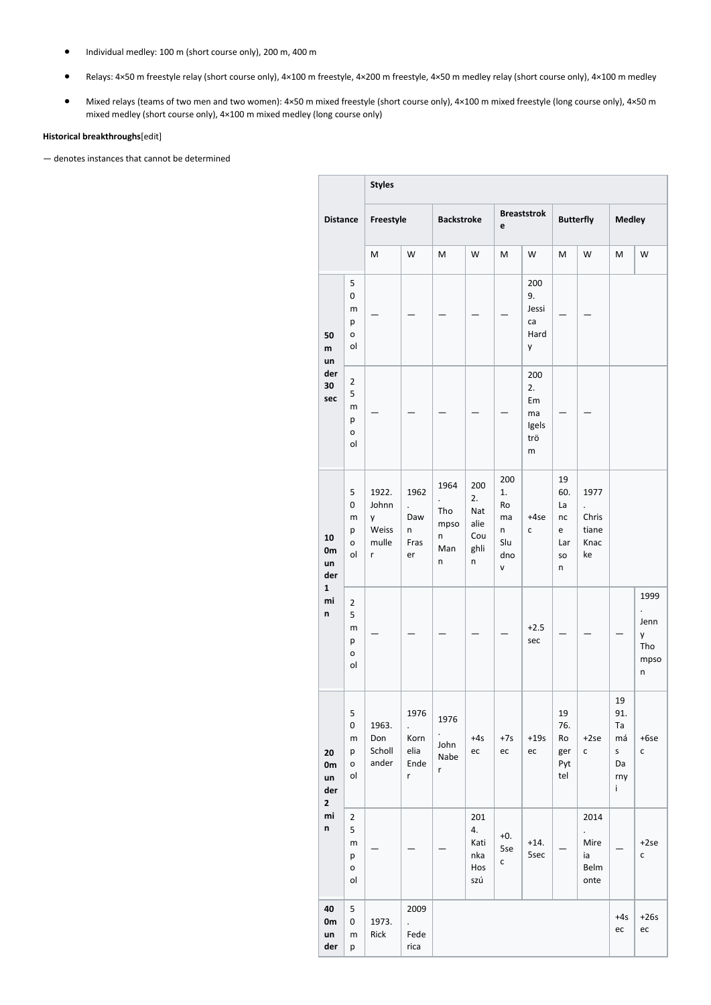- Individual medley: 100 m (short course only), 200 m, 400 m
- Relays: 4×50 m freestyle relay (short course only), 4×100 m freestyle, 4×200 m freestyle, 4×50 m medley relay (short course only), 4×100 m medley
- Mixed relays (teams of two men and two women): 4×50 m mixed freestyle (short course only), 4×100 m mixed freestyle (long course only), 4×50 m mixed medley (short course only), 4×100 m mixed medley (long course only)

# **Historical breakthroughs**[edit]

— denotes instances that cannot be determined

|                                                  |                                                  | <b>Styles</b>                              |                                                                      |                                                 |                                              |                                               |                                            |                                              |                                               |                                                     |                                       |
|--------------------------------------------------|--------------------------------------------------|--------------------------------------------|----------------------------------------------------------------------|-------------------------------------------------|----------------------------------------------|-----------------------------------------------|--------------------------------------------|----------------------------------------------|-----------------------------------------------|-----------------------------------------------------|---------------------------------------|
| <b>Distance</b>                                  |                                                  | Freestyle                                  |                                                                      | <b>Backstroke</b>                               |                                              | <b>Breaststrok</b><br>e                       |                                            | <b>Butterfly</b>                             |                                               | <b>Medley</b>                                       |                                       |
|                                                  |                                                  | M                                          | W                                                                    | M                                               | W                                            | M                                             | W                                          | M                                            | W                                             | M                                                   | W                                     |
| 50<br>m<br>un<br>der<br>30<br>sec                | 5<br>0<br>m<br>p<br>o<br>ol                      |                                            |                                                                      |                                                 |                                              |                                               | 200<br>9.<br>Jessi<br>ca<br>Hard<br>y      |                                              |                                               |                                                     |                                       |
|                                                  | $\overline{2}$<br>5<br>m<br>p<br>o<br>ol         |                                            |                                                                      |                                                 |                                              |                                               | 200<br>2.<br>Em<br>ma<br>Igels<br>trö<br>m |                                              |                                               |                                                     |                                       |
| 10<br>0m<br>un<br>der<br>$\mathbf{1}$<br>mi<br>n | 5<br>0<br>m<br>р<br>o<br>ol                      | 1922.<br>Johnn<br>y<br>Weiss<br>mulle<br>r | 1962<br>$\ddot{\phantom{a}}$<br>Daw<br>n<br>Fras<br>er               | 1964<br>$\cdot$<br>Tho<br>mpso<br>n<br>Man<br>n | 200<br>2.<br>Nat<br>alie<br>Cou<br>ghli<br>n | 200<br>1.<br>Ro<br>ma<br>n<br>Slu<br>dno<br>V | +4se<br>c                                  | 19<br>60.<br>La<br>nc<br>e<br>Lar<br>so<br>n | 1977<br>Chris<br>tiane<br>Knac<br>ke          |                                                     |                                       |
|                                                  | $\overline{2}$<br>5<br>m<br>р<br>o<br>ol         |                                            |                                                                      |                                                 |                                              |                                               | $+2.5$<br>sec                              |                                              |                                               |                                                     | 1999<br>Jenn<br>y<br>Tho<br>mpso<br>n |
| 20<br>0m<br>un<br>der<br>$\mathbf{2}$<br>mi<br>n | 5<br>0<br>m<br>p<br>o<br>ol                      | 1963.<br>Don<br>Scholl<br>ander            | 1976<br>$\ddot{\phantom{0}}$<br>Korn<br>elia<br>Ende<br>$\mathsf{r}$ | 1976<br>John<br>Nabe<br>r                       | $+4s$<br>ec                                  | $+7s$<br>ec                                   | $+19s$<br>ec                               | 19<br>76.<br>Ro<br>ger<br>Pyt<br>tel         | $+2se$<br>С                                   | 19<br>91.<br>Ta<br>má<br>$\sf S$<br>Da<br>rny<br>i. | $+6se$<br>C                           |
|                                                  | $\overline{2}$<br>5<br>${\sf m}$<br>р<br>0<br>ol |                                            |                                                                      |                                                 | 201<br>4.<br>Kati<br>nka<br>Hos<br>szú       | $+0.$<br>5se<br>$\mathsf{C}$                  | $+14.$<br>5sec                             |                                              | 2014<br>$\cdot$<br>Mire<br>ia<br>Belm<br>onte |                                                     | $+2se$<br>C                           |
| 40<br>0m<br>un<br>der                            | 5<br>0<br>m<br>p                                 | 1973.<br>Rick                              | 2009<br>$\ddot{\phantom{0}}$<br>Fede<br>rica                         |                                                 |                                              |                                               |                                            |                                              |                                               | $+4s$<br>ec                                         | $+26s$<br>ec                          |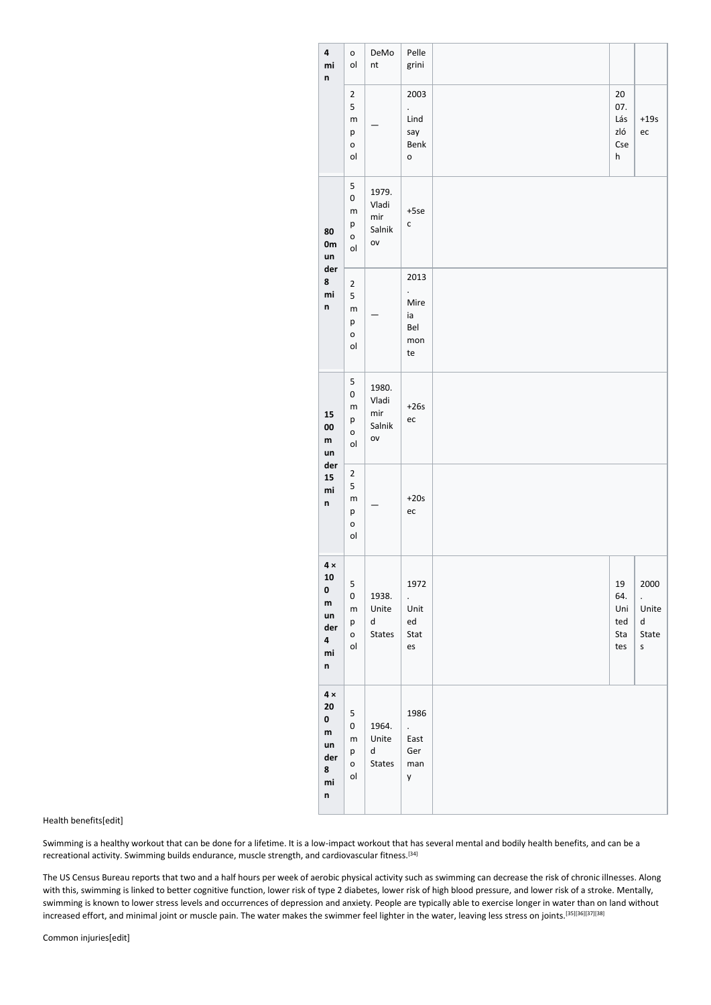| 4<br>mi<br>n                                                    | o<br>ol                                             | DeMo<br>nt                                       | Pelle<br>grini                                                   |                                               |                                                                |
|-----------------------------------------------------------------|-----------------------------------------------------|--------------------------------------------------|------------------------------------------------------------------|-----------------------------------------------|----------------------------------------------------------------|
|                                                                 | $\mathbf 2$<br>5<br>m<br>р<br>$\mathsf{o}$<br>ol    |                                                  | 2003<br>$\ddot{\phantom{0}}$<br>Lind<br>say<br>Benk<br>o         | $20\,$<br>07.<br>Lás<br>zló<br>Cse<br>$\sf h$ | $+19s$<br>ec                                                   |
| 80<br>0m<br>un<br>der<br>8<br>mi<br>n                           | 5<br>0<br>m<br>р<br>o<br>ol                         | 1979.<br>Vladi<br>mir<br>Salnik<br>ov            | $+5se$<br>$\mathsf{C}$                                           |                                               |                                                                |
|                                                                 | $\overline{2}$<br>5<br>m<br>p<br>$\mathsf{o}$<br>ol |                                                  | 2013<br>$\ddot{\phantom{0}}$<br>Mire<br>ia<br>Bel<br>mon<br>te   |                                               |                                                                |
| 15<br>00<br>${\sf m}$<br>un<br>der<br>15<br>mi<br>n             | 5<br>0<br>m<br>р<br>o<br>ol                         | 1980.<br>Vladi<br>$\mathsf{mir}$<br>Salnik<br>ov | $+26s$<br>ec                                                     |                                               |                                                                |
|                                                                 | $\overline{2}$<br>5<br>m<br>р<br>$\mathsf{o}$<br>ol |                                                  | $+20s$<br>$\mathop{\text{ec}}$                                   |                                               |                                                                |
| $4\times$<br>10<br>0<br>${\sf m}$<br>un<br>der<br>4<br>mi<br>n  | 5<br>0<br>m<br>р<br>0<br>ol                         | 1938.<br>Unite<br>d<br><b>States</b>             | 1972<br>$\ddot{\phantom{0}}$<br>Unit<br>${\sf ed}$<br>Stat<br>es | 19<br>64.<br>Uni<br>ted<br>Sta<br>tes         | 2000<br>$\ddot{\phantom{0}}$<br>Unite<br>d<br>State<br>$\sf S$ |
| $4 \times$<br>20<br>$\pmb{0}$<br>m<br>un<br>der<br>8<br>mi<br>n | 5<br>0<br>m<br>р<br>0<br>ol                         | 1964.<br>Unite<br>d<br><b>States</b>             | 1986<br>$\ddot{\phantom{0}}$<br>East<br>Ger<br>man<br>y          |                                               |                                                                |

Health benefits[edit]

Swimming is a healthy workout that can be done for a lifetime. It is a low-impact workout that has several mental and bodily health benefits, and can be a recreational activity. Swimming builds endurance, muscle strength, and cardiovascular fitness.<sup>[34]</sup>

The US Census Bureau reports that two and a half hours per week of aerobic physical activity such as swimming can decrease the risk of chronic illnesses. Along with this, swimming is linked to better cognitive function, lower risk of type 2 diabetes, lower risk of high blood pressure, and lower risk of a stroke. Mentally, swimming is known to lower stress levels and occurrences of depression and anxiety. People are typically able to exercise longer in water than on land without increased effort, and minimal joint or muscle pain. The water makes the swimmer feel lighter in the water, leaving less stress on joints.[35][36][37][38]

Common injuries[edit]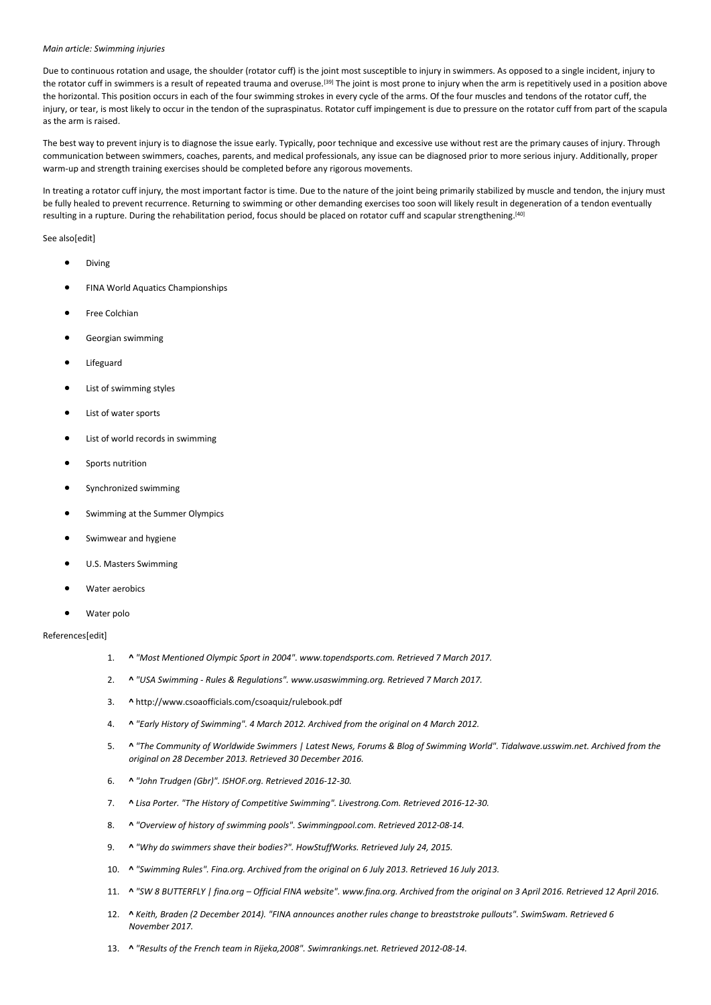#### *Main article: Swimming injuries*

Due to continuous rotation and usage, the shoulder (rotator cuff) is the joint most susceptible to injury in swimmers. As opposed to a single incident, injury to the rotator cuff in swimmers is a result of repeated trauma and overuse.<sup>[39]</sup> The joint is most prone to injury when the arm is repetitively used in a position above the horizontal. This position occurs in each of the four swimming strokes in every cycle of the arms. Of the four muscles and tendons of the rotator cuff, the injury, or tear, is most likely to occur in the tendon of the supraspinatus. Rotator cuff impingement is due to pressure on the rotator cuff from part of the scapula as the arm is raised.

The best way to prevent injury is to diagnose the issue early. Typically, poor technique and excessive use without rest are the primary causes of injury. Through communication between swimmers, coaches, parents, and medical professionals, any issue can be diagnosed prior to more serious injury. Additionally, proper warm-up and strength training exercises should be completed before any rigorous movements.

In treating a rotator cuff injury, the most important factor is time. Due to the nature of the joint being primarily stabilized by muscle and tendon, the injury must be fully healed to prevent recurrence. Returning to swimming or other demanding exercises too soon will likely result in degeneration of a tendon eventually resulting in a rupture. During the rehabilitation period, focus should be placed on rotator cuff and scapular strengthening.[40]

## See also[edit]

- Diving
- FINA World Aquatics Championships
- Free Colchian
- Georgian swimming
- **Lifeguard**
- List of swimming styles
- List of water sports
- List of world records in swimming
- Sports nutrition
- Synchronized swimming
- Swimming at the Summer Olympics
- Swimwear and hygiene
- U.S. Masters Swimming
- Water aerobics
- Water polo

# References[edit]

- 1. **^** *"Most Mentioned Olympic Sport in 2004". www.topendsports.com. Retrieved 7 March 2017.*
- 2. **^** *"USA Swimming - Rules & Regulations". www.usaswimming.org. Retrieved 7 March 2017.*
- 3. **^** http://www.csoaofficials.com/csoaquiz/rulebook.pdf
- 4. **^** *"Early History of Swimming". 4 March 2012. Archived from the original on 4 March 2012.*
- 5. **^** *"The Community of Worldwide Swimmers | Latest News, Forums & Blog of Swimming World". Tidalwave.usswim.net. Archived from the original on 28 December 2013. Retrieved 30 December 2016.*
- 6. **^** *"John Trudgen (Gbr)". ISHOF.org. Retrieved 2016-12-30.*
- 7. **^** *Lisa Porter. "The History of Competitive Swimming". Livestrong.Com. Retrieved 2016-12-30.*
- 8. **^** *"Overview of history of swimming pools". Swimmingpool.com. Retrieved 2012-08-14.*
- 9. **^** *"Why do swimmers shave their bodies?". HowStuffWorks. Retrieved July 24, 2015.*
- 10. **^** *"Swimming Rules". Fina.org. Archived from the original on 6 July 2013. Retrieved 16 July 2013.*
- 11. **^** *"SW 8 BUTTERFLY | fina.org – Official FINA website". www.fina.org. Archived from the original on 3 April 2016. Retrieved 12 April 2016.*
- 12. **^** *Keith, Braden (2 December 2014). "FINA announces another rules change to breaststroke pullouts". SwimSwam. Retrieved 6 November 2017.*
- 13. **^** *"Results of the French team in Rijeka,2008". Swimrankings.net. Retrieved 2012-08-14.*